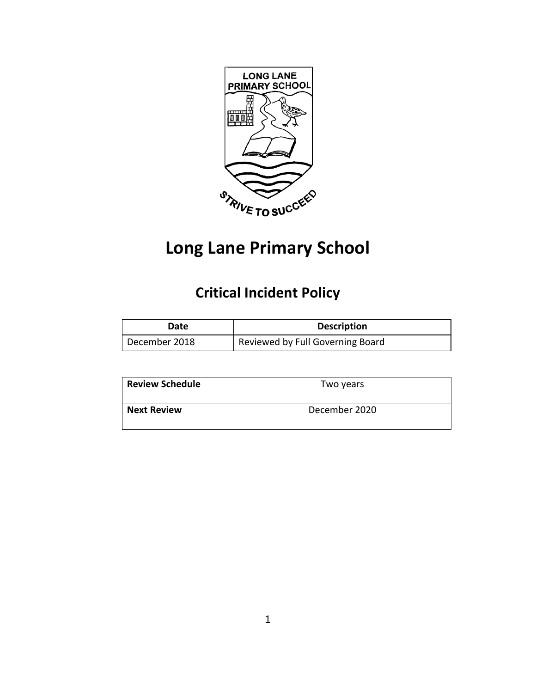

# **Long Lane Primary School**

# **Critical Incident Policy**

| Date          | <b>Description</b>                 |
|---------------|------------------------------------|
| December 2018 | I Reviewed by Full Governing Board |

| <b>Review Schedule</b> | Two years     |
|------------------------|---------------|
| <b>Next Review</b>     | December 2020 |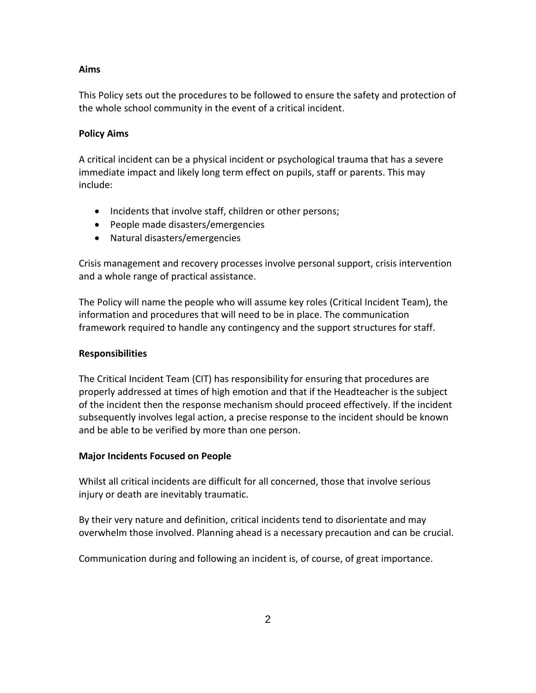## **Aims**

This Policy sets out the procedures to be followed to ensure the safety and protection of the whole school community in the event of a critical incident.

#### **Policy Aims**

A critical incident can be a physical incident or psychological trauma that has a severe immediate impact and likely long term effect on pupils, staff or parents. This may include:

- Incidents that involve staff, children or other persons;
- People made disasters/emergencies
- Natural disasters/emergencies

Crisis management and recovery processes involve personal support, crisis intervention and a whole range of practical assistance.

The Policy will name the people who will assume key roles (Critical Incident Team), the information and procedures that will need to be in place. The communication framework required to handle any contingency and the support structures for staff.

## **Responsibilities**

The Critical Incident Team (CIT) has responsibility for ensuring that procedures are properly addressed at times of high emotion and that if the Headteacher is the subject of the incident then the response mechanism should proceed effectively. If the incident subsequently involves legal action, a precise response to the incident should be known and be able to be verified by more than one person.

#### **Major Incidents Focused on People**

Whilst all critical incidents are difficult for all concerned, those that involve serious injury or death are inevitably traumatic.

By their very nature and definition, critical incidents tend to disorientate and may overwhelm those involved. Planning ahead is a necessary precaution and can be crucial.

Communication during and following an incident is, of course, of great importance.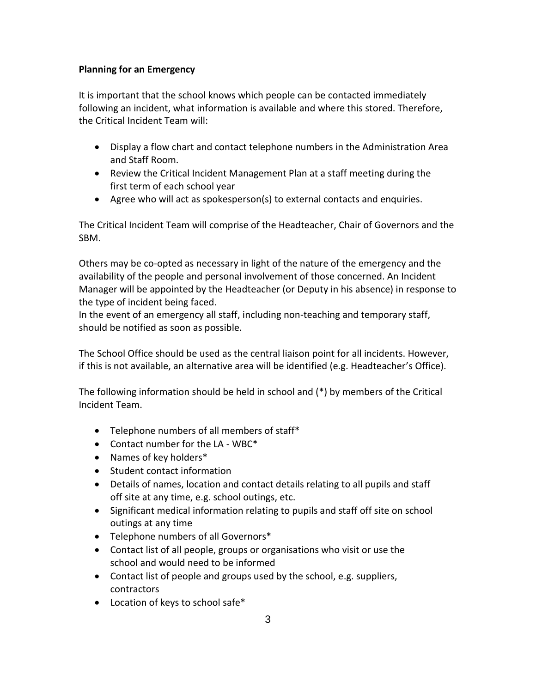## **Planning for an Emergency**

It is important that the school knows which people can be contacted immediately following an incident, what information is available and where this stored. Therefore, the Critical Incident Team will:

- Display a flow chart and contact telephone numbers in the Administration Area and Staff Room.
- Review the Critical Incident Management Plan at a staff meeting during the first term of each school year
- Agree who will act as spokesperson(s) to external contacts and enquiries.

The Critical Incident Team will comprise of the Headteacher, Chair of Governors and the SBM.

Others may be co-opted as necessary in light of the nature of the emergency and the availability of the people and personal involvement of those concerned. An Incident Manager will be appointed by the Headteacher (or Deputy in his absence) in response to the type of incident being faced.

In the event of an emergency all staff, including non-teaching and temporary staff, should be notified as soon as possible.

The School Office should be used as the central liaison point for all incidents. However, if this is not available, an alternative area will be identified (e.g. Headteacher's Office).

The following information should be held in school and (\*) by members of the Critical Incident Team.

- Telephone numbers of all members of staff\*
- Contact number for the LA WBC\*
- Names of key holders\*
- Student contact information
- Details of names, location and contact details relating to all pupils and staff off site at any time, e.g. school outings, etc.
- Significant medical information relating to pupils and staff off site on school outings at any time
- Telephone numbers of all Governors\*
- Contact list of all people, groups or organisations who visit or use the school and would need to be informed
- Contact list of people and groups used by the school, e.g. suppliers, contractors
- Location of keys to school safe\*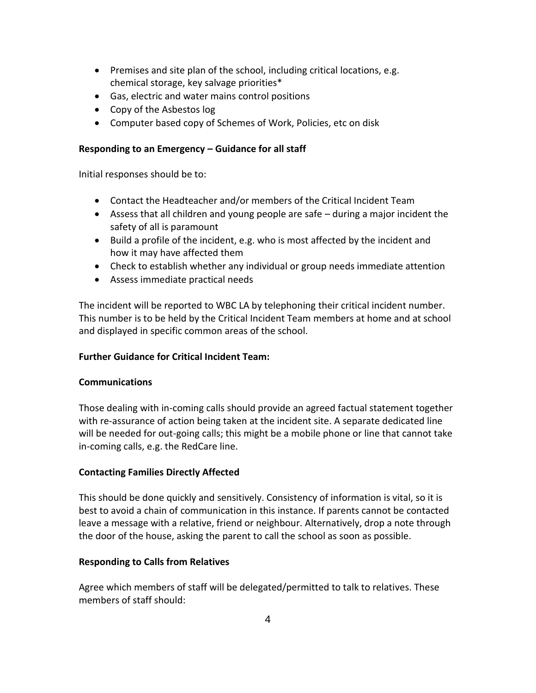- Premises and site plan of the school, including critical locations, e.g. chemical storage, key salvage priorities\*
- Gas, electric and water mains control positions
- Copy of the Asbestos log
- Computer based copy of Schemes of Work, Policies, etc on disk

## **Responding to an Emergency – Guidance for all staff**

Initial responses should be to:

- Contact the Headteacher and/or members of the Critical Incident Team
- Assess that all children and young people are safe during a major incident the safety of all is paramount
- Build a profile of the incident, e.g. who is most affected by the incident and how it may have affected them
- Check to establish whether any individual or group needs immediate attention
- Assess immediate practical needs

The incident will be reported to WBC LA by telephoning their critical incident number. This number is to be held by the Critical Incident Team members at home and at school and displayed in specific common areas of the school.

# **Further Guidance for Critical Incident Team:**

# **Communications**

Those dealing with in-coming calls should provide an agreed factual statement together with re-assurance of action being taken at the incident site. A separate dedicated line will be needed for out-going calls; this might be a mobile phone or line that cannot take in-coming calls, e.g. the RedCare line.

# **Contacting Families Directly Affected**

This should be done quickly and sensitively. Consistency of information is vital, so it is best to avoid a chain of communication in this instance. If parents cannot be contacted leave a message with a relative, friend or neighbour. Alternatively, drop a note through the door of the house, asking the parent to call the school as soon as possible.

# **Responding to Calls from Relatives**

Agree which members of staff will be delegated/permitted to talk to relatives. These members of staff should: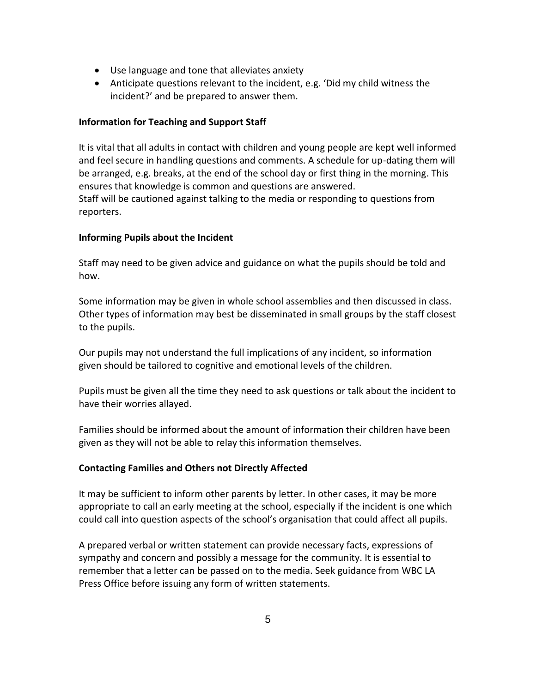- Use language and tone that alleviates anxiety
- Anticipate questions relevant to the incident, e.g. 'Did my child witness the incident?' and be prepared to answer them.

#### **Information for Teaching and Support Staff**

It is vital that all adults in contact with children and young people are kept well informed and feel secure in handling questions and comments. A schedule for up-dating them will be arranged, e.g. breaks, at the end of the school day or first thing in the morning. This ensures that knowledge is common and questions are answered. Staff will be cautioned against talking to the media or responding to questions from reporters.

#### **Informing Pupils about the Incident**

Staff may need to be given advice and guidance on what the pupils should be told and how.

Some information may be given in whole school assemblies and then discussed in class. Other types of information may best be disseminated in small groups by the staff closest to the pupils.

Our pupils may not understand the full implications of any incident, so information given should be tailored to cognitive and emotional levels of the children.

Pupils must be given all the time they need to ask questions or talk about the incident to have their worries allayed.

Families should be informed about the amount of information their children have been given as they will not be able to relay this information themselves.

## **Contacting Families and Others not Directly Affected**

It may be sufficient to inform other parents by letter. In other cases, it may be more appropriate to call an early meeting at the school, especially if the incident is one which could call into question aspects of the school's organisation that could affect all pupils.

A prepared verbal or written statement can provide necessary facts, expressions of sympathy and concern and possibly a message for the community. It is essential to remember that a letter can be passed on to the media. Seek guidance from WBC LA Press Office before issuing any form of written statements.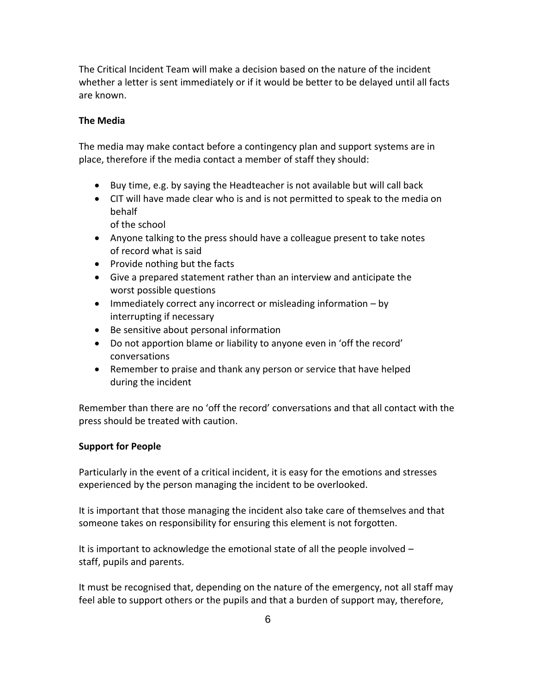The Critical Incident Team will make a decision based on the nature of the incident whether a letter is sent immediately or if it would be better to be delayed until all facts are known.

## **The Media**

The media may make contact before a contingency plan and support systems are in place, therefore if the media contact a member of staff they should:

- Buy time, e.g. by saying the Headteacher is not available but will call back
- CIT will have made clear who is and is not permitted to speak to the media on behalf

of the school

- Anyone talking to the press should have a colleague present to take notes of record what is said
- $\bullet$  Provide nothing but the facts
- Give a prepared statement rather than an interview and anticipate the worst possible questions
- $\bullet$  Immediately correct any incorrect or misleading information by interrupting if necessary
- Be sensitive about personal information
- Do not apportion blame or liability to anyone even in 'off the record' conversations
- Remember to praise and thank any person or service that have helped during the incident

Remember than there are no 'off the record' conversations and that all contact with the press should be treated with caution.

## **Support for People**

Particularly in the event of a critical incident, it is easy for the emotions and stresses experienced by the person managing the incident to be overlooked.

It is important that those managing the incident also take care of themselves and that someone takes on responsibility for ensuring this element is not forgotten.

It is important to acknowledge the emotional state of all the people involved – staff, pupils and parents.

It must be recognised that, depending on the nature of the emergency, not all staff may feel able to support others or the pupils and that a burden of support may, therefore,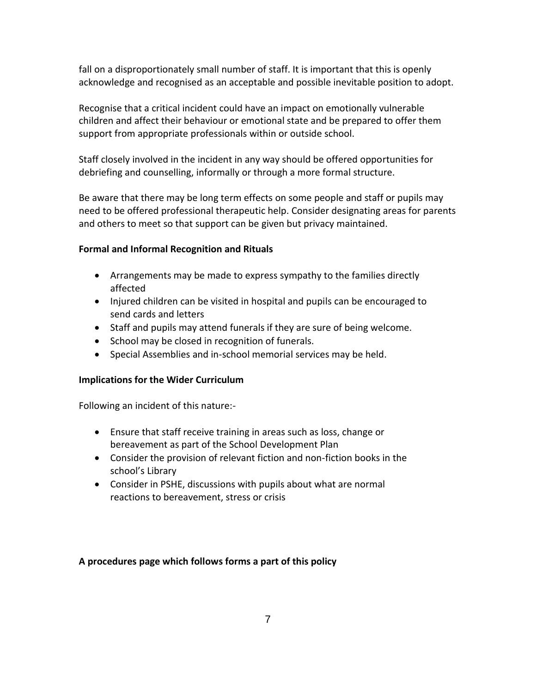fall on a disproportionately small number of staff. It is important that this is openly acknowledge and recognised as an acceptable and possible inevitable position to adopt.

Recognise that a critical incident could have an impact on emotionally vulnerable children and affect their behaviour or emotional state and be prepared to offer them support from appropriate professionals within or outside school.

Staff closely involved in the incident in any way should be offered opportunities for debriefing and counselling, informally or through a more formal structure.

Be aware that there may be long term effects on some people and staff or pupils may need to be offered professional therapeutic help. Consider designating areas for parents and others to meet so that support can be given but privacy maintained.

## **Formal and Informal Recognition and Rituals**

- Arrangements may be made to express sympathy to the families directly affected
- Injured children can be visited in hospital and pupils can be encouraged to send cards and letters
- Staff and pupils may attend funerals if they are sure of being welcome.
- School may be closed in recognition of funerals.
- Special Assemblies and in-school memorial services may be held.

# **Implications for the Wider Curriculum**

Following an incident of this nature:-

- Ensure that staff receive training in areas such as loss, change or bereavement as part of the School Development Plan
- Consider the provision of relevant fiction and non-fiction books in the school's Library
- Consider in PSHE, discussions with pupils about what are normal reactions to bereavement, stress or crisis

# **A procedures page which follows forms a part of this policy**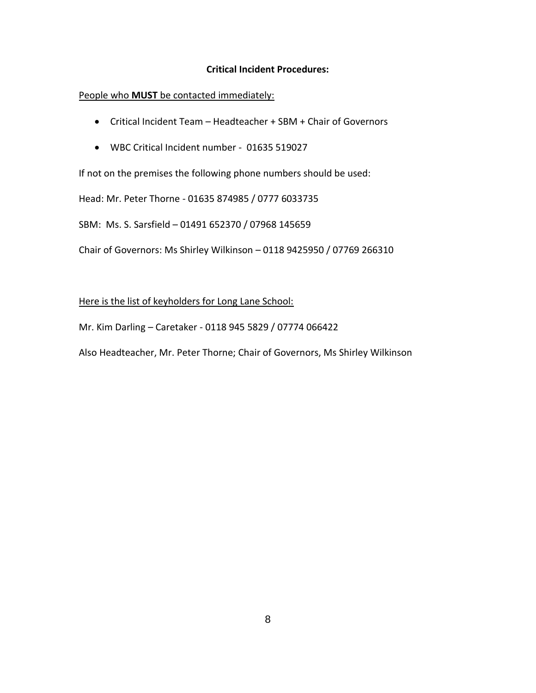#### **Critical Incident Procedures:**

## People who **MUST** be contacted immediately:

- Critical Incident Team Headteacher + SBM + Chair of Governors
- WBC Critical Incident number 01635 519027

If not on the premises the following phone numbers should be used:

Head: Mr. Peter Thorne - 01635 874985 / 0777 6033735

SBM: Ms. S. Sarsfield – 01491 652370 / 07968 145659

Chair of Governors: Ms Shirley Wilkinson – 0118 9425950 / 07769 266310

Here is the list of keyholders for Long Lane School:

Mr. Kim Darling – Caretaker - 0118 945 5829 / 07774 066422

Also Headteacher, Mr. Peter Thorne; Chair of Governors, Ms Shirley Wilkinson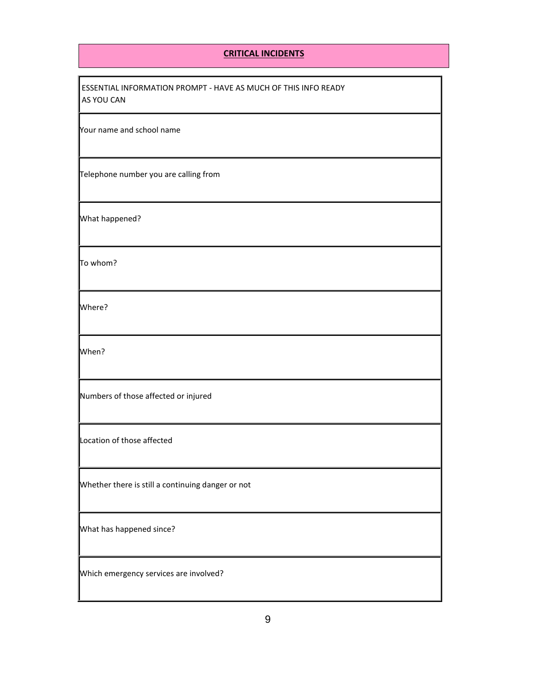#### **CRITICAL INCIDENTS**

| lESSENTIAL INFORMATION PROMPT - HAVE AS MUCH OF THIS INFO READY |  |
|-----------------------------------------------------------------|--|
| AS YOU CAN                                                      |  |

Your name and school name

Telephone number you are calling from

What happened?

To whom?

Where?

When?

Numbers of those affected or injured

Location of those affected

Whether there is still a continuing danger or not

What has happened since?

Which emergency services are involved?